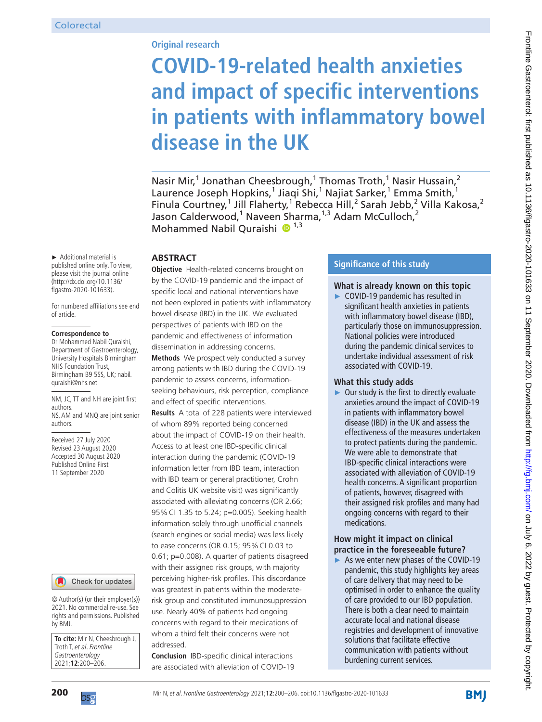## **Original research**

# **COVID-19-related health anxieties and impact of specific interventions in patients with inflammatory bowel disease in the UK**

Nasir Mir,<sup>1</sup> Jonathan Cheesbrough,<sup>1</sup> Thomas Troth,<sup>1</sup> Nasir Hussain,<sup>2</sup> Laurence Joseph Hopkins,<sup>1</sup> Jiaqi Shi,<sup>1</sup> Najiat Sarker,<sup>1</sup> Emma Smith,<sup>1</sup> Finula Courtney,<sup>1</sup> Jill Flaherty,<sup>1</sup> Rebecca Hill,<sup>2</sup> Sarah Jebb,<sup>2</sup> Villa Kakosa,<sup>2</sup> Jason Calderwood,<sup>1</sup> Naveen Sharma,<sup>1,3</sup> Adam McCulloch,<sup>2</sup> Mohammed Nabil Quraishi  $\bullet$ <sup>1,3</sup>

## **ABSTRACT**

published online only. To view, please visit the journal online (http://dx.doi.org/10.1136/ flgastro-2020-101633). For numbered affiliations see end

of article.

► Additional material is

#### **Correspondence to**

Dr Mohammed Nabil Quraishi, Department of Gastroenterology, University Hospitals Birmingham NHS Foundation Trust, Birmingham B9 5SS, UK; nabil. quraishi@nhs.net

NM, JC, TT and NH are joint first authors. NS, AM and MNQ are joint senior authors.

Received 27 July 2020 Revised 23 August 2020 Accepted 30 August 2020 Published Online First 11 September 2020

#### Check for updates

© Author(s) (or their employer(s)) 2021. No commercial re-use. See rights and permissions. Published by BMJ.

**To cite:** Mir N, Cheesbrough J, Troth T, et al. Frontline Gastroenterology 2021;**12**:200–206.

**Objective** Health-related concerns brought on by the COVID-19 pandemic and the impact of specific local and national interventions have not been explored in patients with inflammatory bowel disease (IBD) in the UK. We evaluated perspectives of patients with IBD on the pandemic and effectiveness of information dissemination in addressing concerns.

**Methods** We prospectively conducted a survey among patients with IBD during the COVID-19 pandemic to assess concerns, informationseeking behaviours, risk perception, compliance and effect of specific interventions.

**Results** A total of 228 patients were interviewed of whom 89% reported being concerned about the impact of COVID-19 on their health. Access to at least one IBD-specific clinical interaction during the pandemic (COVID-19 information letter from IBD team, interaction with IBD team or general practitioner, Crohn and Colitis UK website visit) was significantly associated with alleviating concerns (OR 2.66; 95%CI 1.35 to 5.24; p=0.005). Seeking health information solely through unofficial channels (search engines or social media) was less likely to ease concerns (OR 0.15; 95% CI 0.03 to 0.61; p=0.008). A quarter of patients disagreed with their assigned risk groups, with majority perceiving higher-risk profiles. This discordance was greatest in patients within the moderaterisk group and constituted immunosuppression use. Nearly 40% of patients had ongoing concerns with regard to their medications of whom a third felt their concerns were not addressed.

**Conclusion** IBD-specific clinical interactions are associated with alleviation of COVID-19

# **Significance of this study**

#### **What is already known on this topic**

► COVID-19 pandemic has resulted in significant health anxieties in patients with inflammatory bowel disease (IBD), particularly those on immunosuppression. National policies were introduced during the pandemic clinical services to undertake individual assessment of risk associated with COVID-19.

#### **What this study adds**

► Our study is the first to directly evaluate anxieties around the impact of COVID-19 in patients with inflammatory bowel disease (IBD) in the UK and assess the effectiveness of the measures undertaken to protect patients during the pandemic. We were able to demonstrate that IBD-specific clinical interactions were associated with alleviation of COVID-19 health concerns. A significant proportion of patients, however, disagreed with their assigned risk profiles and many had ongoing concerns with regard to their medications.

## **How might it impact on clinical practice in the foreseeable future?**

► As we enter new phases of the COVID-19 pandemic, this study highlights key areas of care delivery that may need to be optimised in order to enhance the quality of care provided to our IBD population. There is both a clear need to maintain accurate local and national disease registries and development of innovative solutions that facilitate effective communication with patients without burdening current services.

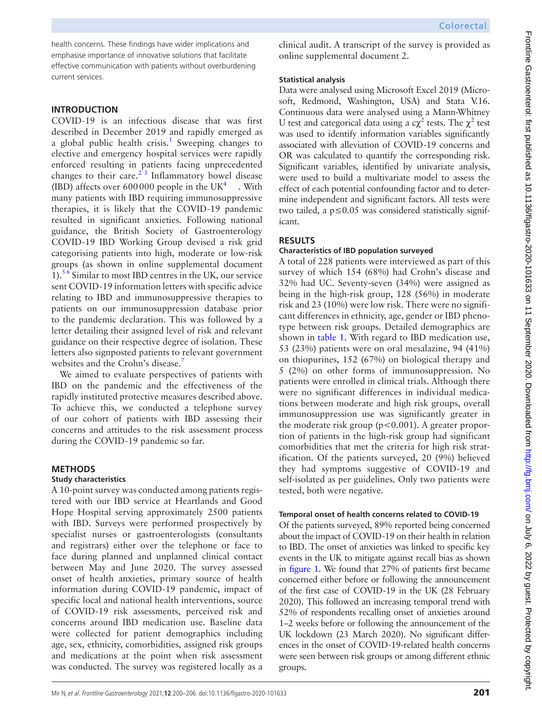health concerns. These findings have wider implications and emphasise importance of innovative solutions that facilitate effective communication with patients without overburdening current services.

#### **INTRODUCTION**

COVID-19 is an infectious disease that was first described in December 2019 and rapidly emerged as a global public health crisis.<sup>[1](#page-6-0)</sup> Sweeping changes to elective and emergency hospital services were rapidly enforced resulting in patients facing unprecedented changes to their care. $2<sup>3</sup>$  Inflammatory bowel disease (IBD) affects over 600 000 people in the  $UK<sup>4</sup>$ . With many patients with IBD requiring immunosuppressive therapies, it is likely that the COVID-19 pandemic resulted in significant anxieties. Following national guidance, the British Society of Gastroenterology COVID-19 IBD Working Group devised a risk grid categorising patients into high, moderate or low-risk groups (as shown in [online supplemental document](https://dx.doi.org/10.1136/flgastro-2020-101633)  [1](https://dx.doi.org/10.1136/flgastro-2020-101633)). $56$  Similar to most IBD centres in the UK, our service sent COVID-19 information letters with specific advice relating to IBD and immunosuppressive therapies to patients on our immunosuppression database prior to the pandemic declaration. This was followed by a letter detailing their assigned level of risk and relevant guidance on their respective degree of isolation. These letters also signposted patients to relevant government websites and the Crohn's disease.

We aimed to evaluate perspectives of patients with IBD on the pandemic and the effectiveness of the rapidly instituted protective measures described above. To achieve this, we conducted a telephone survey of our cohort of patients with IBD assessing their concerns and attitudes to the risk assessment process during the COVID-19 pandemic so far.

#### **METHODS**

#### **Study characteristics**

A 10-point survey was conducted among patients registered with our IBD service at Heartlands and Good Hope Hospital serving approximately 2500 patients with IBD. Surveys were performed prospectively by specialist nurses or gastroenterologists (consultants and registrars) either over the telephone or face to face during planned and unplanned clinical contact between May and June 2020. The survey assessed onset of health anxieties, primary source of health information during COVID-19 pandemic, impact of specific local and national health interventions, source of COVID-19 risk assessments, perceived risk and concerns around IBD medication use. Baseline data were collected for patient demographics including age, sex, ethnicity, comorbidities, assigned risk groups and medications at the point when risk assessment was conducted. The survey was registered locally as a

clinical audit. A transcript of the survey is provided as [online supplemental document 2](https://dx.doi.org/10.1136/flgastro-2020-101633).

### **Statistical analysis**

Data were analysed using Microsoft Excel 2019 (Microsoft, Redmond, Washington, USA) and Stata V.16. Continuous data were analysed using a Mann-Whitney U test and categorical data using a  $c\chi^2$  tests. The  $\chi^2$  test was used to identify information variables significantly associated with alleviation of COVID-19 concerns and OR was calculated to quantify the corresponding risk. Significant variables, identified by univariate analysis, were used to build a multivariate model to assess the effect of each potential confounding factor and to determine independent and significant factors. All tests were two tailed, a  $p \leq 0.05$  was considered statistically significant.

## **RESULTS**

## **Characteristics of IBD population surveyed**

A total of 228 patients were interviewed as part of this survey of which 154 (68%) had Crohn's disease and 32% had UC. Seventy-seven (34%) were assigned as being in the high-risk group, 128 (56%) in moderate risk and 23 (10%) were low risk. There were no significant differences in ethnicity, age, gender or IBD phenotype between risk groups. Detailed demographics are shown in [table](#page-2-0) 1. With regard to IBD medication use, 53 (23%) patients were on oral mesalazine, 94 (41%) on thiopurines, 152 (67%) on biological therapy and 5 (2%) on other forms of immunosuppression. No patients were enrolled in clinical trials. Although there were no significant differences in individual medications between moderate and high risk groups, overall immunosuppression use was significantly greater in the moderate risk group ( $p$ <0.001). A greater proportion of patients in the high-risk group had significant comorbidities that met the criteria for high risk stratification. Of the patients surveyed, 20 (9%) believed they had symptoms suggestive of COVID-19 and self-isolated as per guidelines. Only two patients were tested, both were negative.

#### **Temporal onset of health concerns related to COVID-19**

Of the patients surveyed, 89% reported being concerned about the impact of COVID-19 on their health in relation to IBD. The onset of anxieties was linked to specific key events in the UK to mitigate against recall bias as shown in [figure](#page-2-1) 1. We found that 27% of patients first became concerned either before or following the announcement of the first case of COVID-19 in the UK (28 February 2020). This followed an increasing temporal trend with 52% of respondents recalling onset of anxieties around 1–2 weeks before or following the announcement of the UK lockdown (23 March 2020). No significant differences in the onset of COVID-19-related health concerns were seen between risk groups or among different ethnic groups.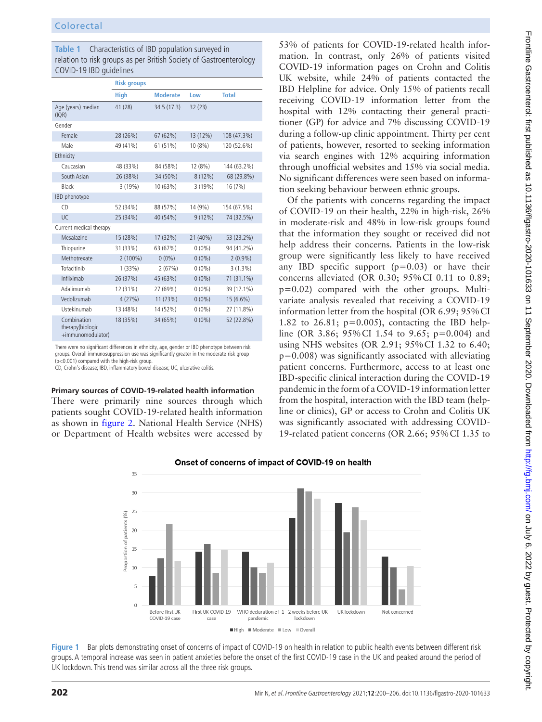<span id="page-2-0"></span>**Table 1** Characteristics of IBD population surveyed in relation to risk groups as per British Society of Gastroenterology COVID-19 IBD guidelines

|                                                      | <b>Risk groups</b> |                 |           |              |
|------------------------------------------------------|--------------------|-----------------|-----------|--------------|
|                                                      | <b>High</b>        | <b>Moderate</b> | Low       | <b>Total</b> |
| Age (years) median<br>(IQR)                          | 41 (28)            | 34.5 (17.3)     | 32(23)    |              |
| Gender                                               |                    |                 |           |              |
| Female                                               | 28 (26%)           | 67 (62%)        | 13 (12%)  | 108 (47.3%)  |
| Male                                                 | 49 (41%)           | 61 (51%)        | $10(8\%)$ | 120 (52.6%)  |
| Ethnicity                                            |                    |                 |           |              |
| Caucasian                                            | 48 (33%)           | 84 (58%)        | 12 (8%)   | 144 (63.2%)  |
| South Asian                                          | 26 (38%)           | 34 (50%)        | $8(12\%)$ | 68 (29.8%)   |
| Black                                                | 3(19%)             | 10 (63%)        | 3(19%)    | 16(7%)       |
| IBD phenotype                                        |                    |                 |           |              |
| CD                                                   | 52 (34%)           | 88 (57%)        | 14 (9%)   | 154 (67.5%)  |
| <b>UC</b>                                            | 25 (34%)           | 40 (54%)        | $9(12\%)$ | 74 (32.5%)   |
| Current medical therapy                              |                    |                 |           |              |
| Mesalazine                                           | 15 (28%)           | 17 (32%)        | 21 (40%)  | 53 (23.2%)   |
| Thiopurine                                           | 31 (33%)           | 63 (67%)        | $0(0\%)$  | 94 (41.2%)   |
| Methotrexate                                         | $2(100\%)$         | $0(0\%)$        | $0(0\%)$  | $2(0.9\%)$   |
| Tofacitinib                                          | 1(33%)             | 2(67%)          | $0(0\%)$  | $3(1.3\%)$   |
| Infliximab                                           | 26 (37%)           | 45 (63%)        | $0(0\%)$  | 71 (31.1%)   |
| Adalimumab                                           | 12 (31%)           | 27 (69%)        | $0(0\%)$  | 39 (17.1%)   |
| Vedolizumab                                          | 4(27%)             | 11 (73%)        | $0(0\%)$  | 15 (6.6%)    |
| Ustekinumab                                          | 13 (48%)           | 14 (52%)        | $0(0\%)$  | 27 (11.8%)   |
| Combination<br>therapy(biologic<br>+immunomodulator) | 18 (35%)           | 34 (65%)        | $0(0\%)$  | 52 (22.8%)   |

There were no significant differences in ethnicity, age, gender or IBD phenotype between risk groups. Overall immunosuppression use was significantly greater in the moderate-risk group  $(p<0.001)$  compared with the high-risk group

CD, Crohn's disease; IBD, inflammatory bowel disease; UC, ulcerative colitis.

# **Primary sources of COVID-19-related health information**

There were primarily nine sources through which patients sought COVID-19-related health information as shown in [figure](#page-3-0) 2. National Health Service (NHS) or Department of Health websites were accessed by

53% of patients for COVID-19-related health information. In contrast, only 26% of patients visited COVID-19 information pages on Crohn and Colitis UK website, while 24% of patients contacted the IBD Helpline for advice. Only 15% of patients recall receiving COVID-19 information letter from the hospital with 12% contacting their general practitioner (GP) for advice and 7% discussing COVID-19 during a follow-up clinic appointment. Thirty per cent of patients, however, resorted to seeking information via search engines with 12% acquiring information through unofficial websites and 15% via social media. No significant differences were seen based on information seeking behaviour between ethnic groups.

Of the patients with concerns regarding the impact of COVID-19 on their health, 22% in high-risk, 26% in moderate-risk and 48% in low-risk groups found that the information they sought or received did not help address their concerns. Patients in the low-risk group were significantly less likely to have received any IBD specific support  $(p=0.03)$  or have their concerns alleviated (OR 0.30; 95%CI 0.11 to 0.89; p=0.02) compared with the other groups. Multivariate analysis revealed that receiving a COVID-19 information letter from the hospital (OR 6.99; 95%CI 1.82 to 26.81;  $p=0.005$ ), contacting the IBD helpline (OR 3.86; 95%CI 1.54 to 9.65; p=0.004) and using NHS websites (OR 2.91; 95%CI 1.32 to 6.40; p=0.008) was significantly associated with alleviating patient concerns. Furthermore, access to at least one IBD-specific clinical interaction during the COVID-19 pandemic in the form of a COVID-19 information letter from the hospital, interaction with the IBD team (helpline or clinics), GP or access to Crohn and Colitis UK was significantly associated with addressing COVID-19-related patient concerns (OR 2.66; 95%CI 1.35 to



Onset of concerns of impact of COVID-19 on health

<span id="page-2-1"></span>Figure 1 Bar plots demonstrating onset of concerns of impact of COVID-19 on health in relation to public health events between different risk groups. A temporal increase was seen in patient anxieties before the onset of the first COVID-19 case in the UK and peaked around the period of UK lockdown. This trend was similar across all the three risk groups.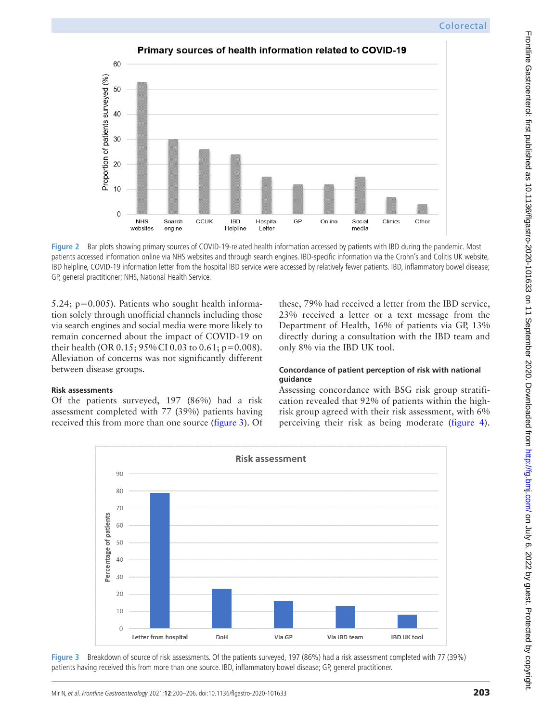## Colorectal



<span id="page-3-0"></span>Figure 2 Bar plots showing primary sources of COVID-19-related health information accessed by patients with IBD during the pandemic. Most patients accessed information online via NHS websites and through search engines. IBD-specific information via the Crohn's and Colitis UK website, IBD helpline, COVID-19 information letter from the hospital IBD service were accessed by relatively fewer patients. IBD, inflammatory bowel disease; GP, general practitioner; NHS, National Health Service.

5.24; p=0.005). Patients who sought health information solely through unofficial channels including those via search engines and social media were more likely to remain concerned about the impact of COVID-19 on their health (OR 0.15; 95%CI 0.03 to 0.61; p=0.008). Alleviation of concerns was not significantly different between disease groups.

#### **Risk assessments**

Of the patients surveyed, 197 (86%) had a risk assessment completed with 77 (39%) patients having received this from more than one source [\(figure](#page-3-1) 3). Of these, 79% had received a letter from the IBD service, 23% received a letter or a text message from the Department of Health, 16% of patients via GP, 13% directly during a consultation with the IBD team and only 8% via the IBD UK tool.

#### **Concordance of patient perception of risk with national guidance**

Assessing concordance with BSG risk group stratification revealed that 92% of patients within the highrisk group agreed with their risk assessment, with 6% perceiving their risk as being moderate [\(figure](#page-4-0) 4).



<span id="page-3-1"></span>**Figure 3** Breakdown of source of risk assessments. Of the patients surveyed, 197 (86%) had a risk assessment completed with 77 (39%) patients having received this from more than one source. IBD, inflammatory bowel disease; GP, general practitioner.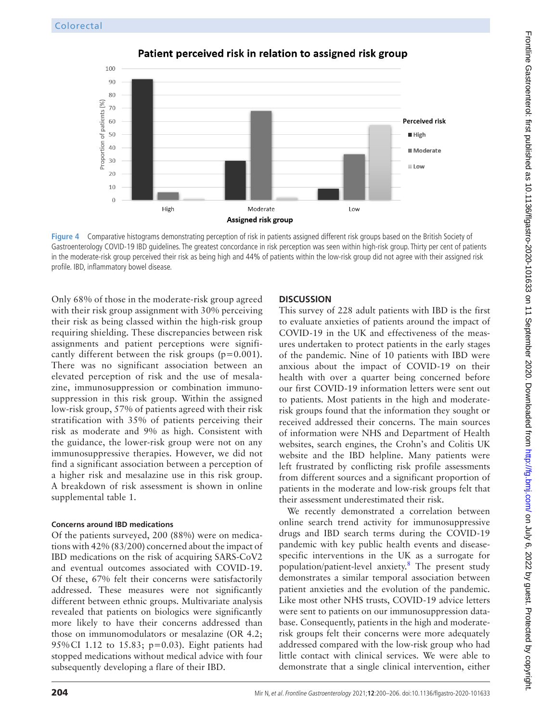

Patient perceived risk in relation to assigned risk group

<span id="page-4-0"></span>**Figure 4** Comparative histograms demonstrating perception of risk in patients assigned different risk groups based on the British Society of Gastroenterology COVID-19 IBD guidelines. The greatest concordance in risk perception was seen within high-risk group. Thirty per cent of patients in the moderate-risk group perceived their risk as being high and 44% of patients within the low-risk group did not agree with their assigned risk profile. IBD, inflammatory bowel disease.

Only 68% of those in the moderate-risk group agreed with their risk group assignment with 30% perceiving their risk as being classed within the high-risk group requiring shielding. These discrepancies between risk assignments and patient perceptions were significantly different between the risk groups  $(p=0.001)$ . There was no significant association between an elevated perception of risk and the use of mesalazine, immunosuppression or combination immunosuppression in this risk group. Within the assigned low-risk group, 57% of patients agreed with their risk stratification with 35% of patients perceiving their risk as moderate and 9% as high. Consistent with the guidance, the lower-risk group were not on any immunosuppressive therapies. However, we did not find a significant association between a perception of a higher risk and mesalazine use in this risk group. A breakdown of risk assessment is shown in [online](https://dx.doi.org/10.1136/flgastro-2020-101633)  [supplemental table 1](https://dx.doi.org/10.1136/flgastro-2020-101633).

## **Concerns around IBD medications**

Of the patients surveyed, 200 (88%) were on medications with 42% (83/200) concerned about the impact of IBD medications on the risk of acquiring SARS-CoV2 and eventual outcomes associated with COVID-19. Of these, 67% felt their concerns were satisfactorily addressed. These measures were not significantly different between ethnic groups. Multivariate analysis revealed that patients on biologics were significantly more likely to have their concerns addressed than those on immunomodulators or mesalazine (OR 4.2; 95%CI 1.12 to 15.83; p=0.03). Eight patients had stopped medications without medical advice with four subsequently developing a flare of their IBD.

# **DISCUSSION**

This survey of 228 adult patients with IBD is the first to evaluate anxieties of patients around the impact of COVID-19 in the UK and effectiveness of the measures undertaken to protect patients in the early stages of the pandemic. Nine of 10 patients with IBD were anxious about the impact of COVID-19 on their health with over a quarter being concerned before our first COVID-19 information letters were sent out to patients. Most patients in the high and moderaterisk groups found that the information they sought or received addressed their concerns. The main sources of information were NHS and Department of Health websites, search engines, the Crohn's and Colitis UK website and the IBD helpline. Many patients were left frustrated by conflicting risk profile assessments from different sources and a significant proportion of patients in the moderate and low-risk groups felt that their assessment underestimated their risk.

We recently demonstrated a correlation between online search trend activity for immunosuppressive drugs and IBD search terms during the COVID-19 pandemic with key public health events and diseasespecific interventions in the UK as a surrogate for population/patient-level anxiety.[8](#page-6-5) The present study demonstrates a similar temporal association between patient anxieties and the evolution of the pandemic. Like most other NHS trusts, COVID-19 advice letters were sent to patients on our immunosuppression database. Consequently, patients in the high and moderaterisk groups felt their concerns were more adequately addressed compared with the low-risk group who had little contact with clinical services. We were able to demonstrate that a single clinical intervention, either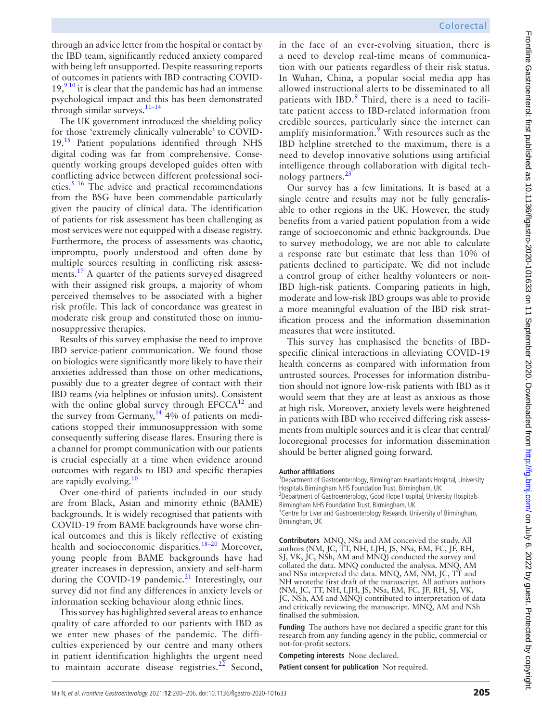through an advice letter from the hospital or contact by the IBD team, significantly reduced anxiety compared with being left unsupported. Despite reassuring reports of outcomes in patients with IBD contracting COVID- $19<sub>19</sub><sup>9 10</sup>$  it is clear that the pandemic has had an immense psychological impact and this has been demonstrated through similar surveys.[11–14](#page-6-7)

The UK government introduced the shielding policy for those 'extremely clinically vulnerable' to COVID-19.<sup>15</sup> Patient populations identified through NHS digital coding was far from comprehensive. Consequently working groups developed guides often with conflicting advice between different professional societies. $5\frac{16}{16}$  The advice and practical recommendations from the BSG have been commendable particularly given the paucity of clinical data. The identification of patients for risk assessment has been challenging as most services were not equipped with a disease registry. Furthermore, the process of assessments was chaotic, impromptu, poorly understood and often done by multiple sources resulting in conflicting risk assessments.[17](#page-6-9) A quarter of the patients surveyed disagreed with their assigned risk groups, a majority of whom perceived themselves to be associated with a higher risk profile. This lack of concordance was greatest in moderate risk group and constituted those on immunosuppressive therapies.

Results of this survey emphasise the need to improve IBD service-patient communication. We found those on biologics were significantly more likely to have their anxieties addressed than those on other medications, possibly due to a greater degree of contact with their IBD teams (via helplines or infusion units). Consistent with the online global survey through  $EFCCA<sup>12</sup>$  and the survey from  $Germany$ ,<sup>[14](#page-6-11)</sup> 4% of patients on medications stopped their immunosuppression with some consequently suffering disease flares. Ensuring there is a channel for prompt communication with our patients is crucial especially at a time when evidence around outcomes with regards to IBD and specific therapies are rapidly evolving. $10$ 

Over one-third of patients included in our study are from Black, Asian and minority ethnic (BAME) backgrounds. It is widely recognised that patients with COVID-19 from BAME backgrounds have worse clinical outcomes and this is likely reflective of existing health and socioeconomic disparities.<sup>[18–20](#page-6-13)</sup> Moreover, young people from BAME backgrounds have had greater increases in depression, anxiety and self-harm during the COVID-19 pandemic.<sup>[21](#page-6-14)</sup> Interestingly, our survey did not find any differences in anxiety levels or information seeking behaviour along ethnic lines.

This survey has highlighted several areas to enhance quality of care afforded to our patients with IBD as we enter new phases of the pandemic. The difficulties experienced by our centre and many others in patient identification highlights the urgent need to maintain accurate disease registries.<sup>22</sup> Second,

in the face of an ever-evolving situation, there is a need to develop real-time means of communication with our patients regardless of their risk status. In Wuhan, China, a popular social media app has allowed instructional alerts to be disseminated to all patients with IBD.<sup>[9](#page-6-6)</sup> Third, there is a need to facilitate patient access to IBD-related information from credible sources, particularly since the internet can amplify misinformation.<sup>[9](#page-6-6)</sup> With resources such as the IBD helpline stretched to the maximum, there is a need to develop innovative solutions using artificial intelligence through collaboration with digital tech-nology partners.<sup>[23](#page-6-16)</sup>

Our survey has a few limitations. It is based at a single centre and results may not be fully generalisable to other regions in the UK. However, the study benefits from a varied patient population from a wide range of socioeconomic and ethnic backgrounds. Due to survey methodology, we are not able to calculate a response rate but estimate that less than 10% of patients declined to participate. We did not include a control group of either healthy volunteers or non-IBD high-risk patients. Comparing patients in high, moderate and low-risk IBD groups was able to provide a more meaningful evaluation of the IBD risk stratification process and the information dissemination measures that were instituted.

This survey has emphasised the benefits of IBDspecific clinical interactions in alleviating COVID-19 health concerns as compared with information from untrusted sources. Processes for information distribution should not ignore low-risk patients with IBD as it would seem that they are at least as anxious as those at high risk. Moreover, anxiety levels were heightened in patients with IBD who received differing risk assessments from multiple sources and it is clear that central/ locoregional processes for information dissemination should be better aligned going forward.

#### **Author affiliations**

<sup>1</sup>Department of Gastroenterology, Birmingham Heartlands Hospital, University Hospitals Birmingham NHS Foundation Trust, Birmingham, UK <sup>2</sup> Department of Gastroenterology, Good Hope Hospital, University Hospitals Birmingham NHS Foundation Trust, Birmingham, UK <sup>3</sup> Centre for Liver and Gastroenterology Research, University of Birmingham, Birmingham, UK

**Contributors** MNQ, NSa and AM conceived the study. All authors (NM, JC, TT, NH, LJH, JS, NSa, EM, FC, JF, RH, SJ, VK, JC, NSh, AM and MNQ) conducted the survey and collated the data. MNQ conducted the analysis. MNQ, AM and NSa interpreted the data. MNQ, AM, NM, JC, TT and NH wrotethe first draft of the manuscript. All authors authors (NM, JC, TT, NH, LJH, JS, NSa, EM, FC, JF, RH, SJ, VK, JC, NSh, AM and MNQ) contributed to interpretation of data and critically reviewing the manuscript. MNQ, AM and NSh finalised the submission.

**Funding** The authors have not declared a specific grant for this research from any funding agency in the public, commercial or not-for-profit sectors.

**Competing interests** None declared.

**Patient consent for publication** Not required.